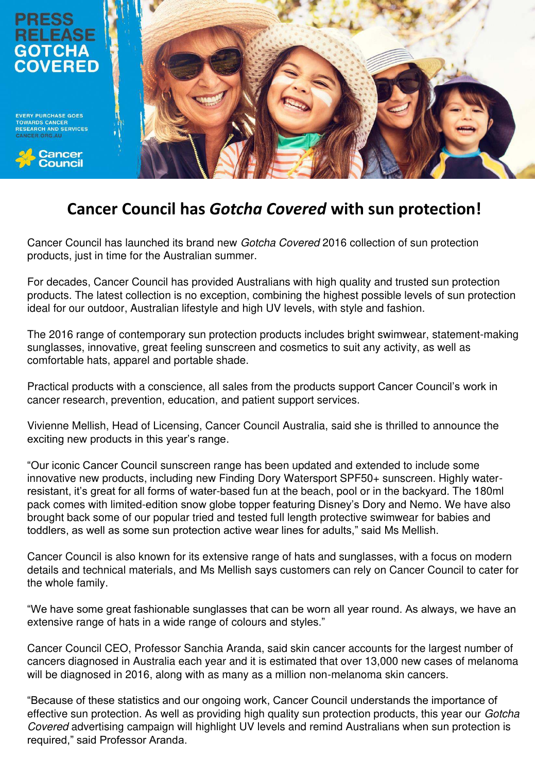

**EVERY PURCHASE GOES TOWARDS CANCEF RESEARCH AND SERVICES** 





# **Cancer Council has** *Gotcha Covered* **with sun protection!**

Cancer Council has launched its brand new Gotcha Covered 2016 collection of sun protection products, just in time for the Australian summer.

For decades, Cancer Council has provided Australians with high quality and trusted sun protection products. The latest collection is no exception, combining the highest possible levels of sun protection ideal for our outdoor, Australian lifestyle and high UV levels, with style and fashion.

The 2016 range of contemporary sun protection products includes bright swimwear, statement-making sunglasses, innovative, great feeling sunscreen and cosmetics to suit any activity, as well as comfortable hats, apparel and portable shade.

Practical products with a conscience, all sales from the products support Cancer Council's work in cancer research, prevention, education, and patient support services.

Vivienne Mellish, Head of Licensing, Cancer Council Australia, said she is thrilled to announce the exciting new products in this year's range.

"Our iconic Cancer Council sunscreen range has been updated and extended to include some innovative new products, including new Finding Dory Watersport SPF50+ sunscreen. Highly waterresistant, it's great for all forms of water-based fun at the beach, pool or in the backyard. The 180ml pack comes with limited-edition snow globe topper featuring Disney's Dory and Nemo. We have also brought back some of our popular tried and tested full length protective swimwear for babies and toddlers, as well as some sun protection active wear lines for adults," said Ms Mellish.

Cancer Council is also known for its extensive range of hats and sunglasses, with a focus on modern details and technical materials, and Ms Mellish says customers can rely on Cancer Council to cater for the whole family.

"We have some great fashionable sunglasses that can be worn all year round. As always, we have an extensive range of hats in a wide range of colours and styles."

Cancer Council CEO, Professor Sanchia Aranda, said skin cancer accounts for the largest number of cancers diagnosed in Australia each year and it is estimated that over 13,000 new cases of melanoma will be diagnosed in 2016, along with as many as a million non-melanoma skin cancers.

"Because of these statistics and our ongoing work, Cancer Council understands the importance of effective sun protection. As well as providing high quality sun protection products, this year our Gotcha Covered advertising campaign will highlight UV levels and remind Australians when sun protection is required," said Professor Aranda.